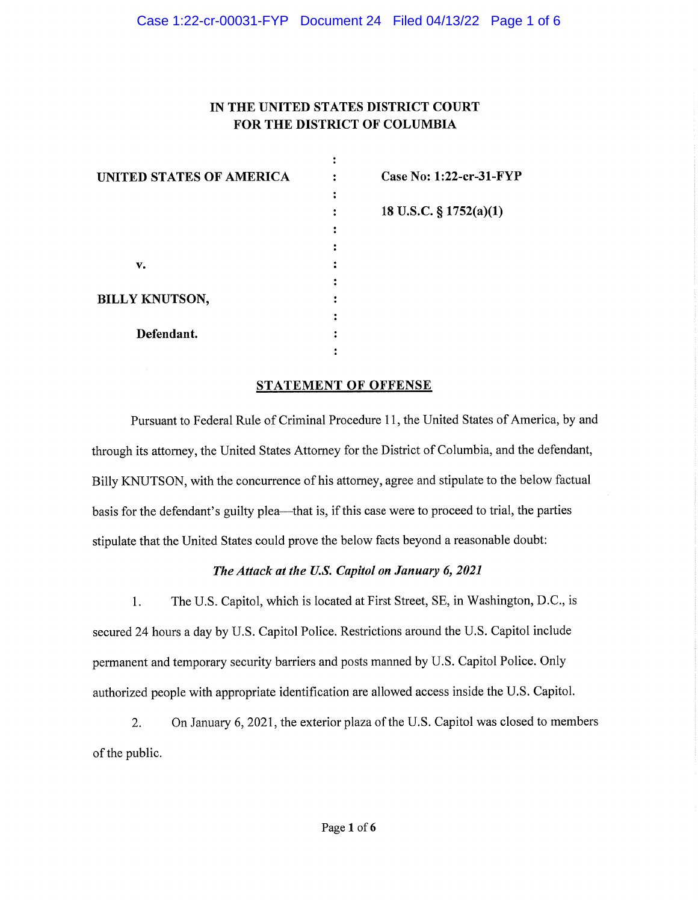# IN THE UNITED STATES DISTRICT COURT FOR THE DISTRICT OF COLUMBIA

| UNITED STATES OF AMERICA | Case No: 1:22-cr-31-FYP |
|--------------------------|-------------------------|
|                          |                         |
|                          | 18 U.S.C. § 1752(a)(1)  |
|                          |                         |
|                          |                         |
| v.                       |                         |
|                          |                         |
| <b>BILLY KNUTSON,</b>    |                         |
|                          |                         |
| Defendant.               |                         |
|                          |                         |

# STATEMENT OF OFFENSE

Pursuant to Federal Rule of Criminal Procedure 11, the United States of America, by and through its attorney, the United States Attorney for the District of Columbia, and the defendant, Billy KNUTSON, with the concurrence of his attorney, agree and stipulate to the below factual basis for the defendant's guilty plea—that is, if this case were to proceed to trial, the parties stipulate that the United States could prove the below facts beyond a reasonable doubt:

# The Attack at the U.S. Capitol on January 6, 2021

1. The U.S. Capitol, which is located at First Street, SE, in Washington, D.C., is secured 24 hours a day by U.S. Capitol Police. Restrictions around the U.S. Capitol include permanent and temporary security barriers and posts manned by U.S. Capitol Police. Only authorized people with appropriate identification are allowed access inside the U.S. Capitol.

2. On January 6, 2021, the exterior plaza of the U.S. Capitol was closed to members of the public.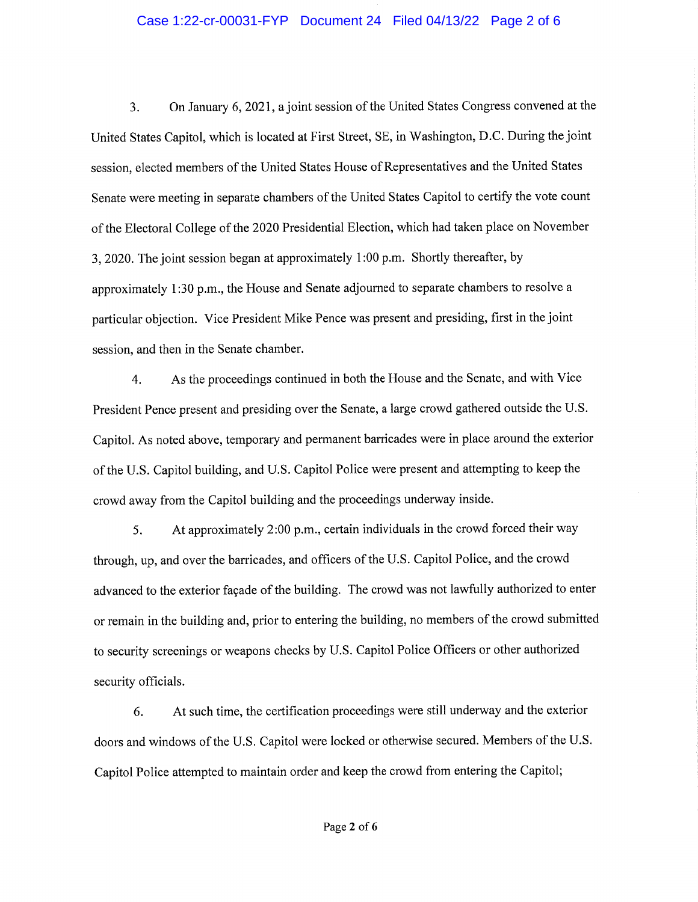#### Case 1:22-cr-00031-FYP Document 24 Filed 04/13/22 Page 2 of 6

3. On January 6, 2021, a joint session of the United States Congress convened at the United States Capitol, which is located at First Street, SE, in Washington, D.C. During the joint session, elected members of the United States House of Representatives and the United States Senate were meeting in separate chambers of the United States Capitol to certify the vote count of the Electoral College of the 2020 Presidential Election, which had taken place on November 3, 2020. The joint session began at approximately 1:00 p.m. Shortly thereafter, by approximately 1:30 p.m., the House and Senate adjourned to separate chambers to resolve a particular objection. Vice President Mike Pence was present and presiding, first in the joint session, and then in the Senate chamber.

4. As the proceedings continued in both the House and the Senate, and with Vice President Pence present and presiding over the Senate, a large crowd gathered outside the U.S. Capitol. As noted above, temporary and permanent barricades were in place around the exterior of the U.S. Capitol building, and U.S. Capitol Police were present and attempting to keep the crowd away from the Capitol building and the proceedings underway inside.

5. At approximately 2:00 p.m., certain individuals in the crowd forced their way through, up, and over the barricades, and officers of the U.S. Capitol Police, and the crowd advanced to the exterior façade of the building. The crowd was not lawfully authorized to enter or remain in the building and, prior to entering the building, no members of the crowd submitted to security screenings or weapons checks by U.S. Capitol Police Officers or other authorized security officials.

6. At such time, the certification proceedings were still underway and the exterior doors and windows of the U.S. Capitol were locked or otherwise secured. Members of the U.S. Capitol Police attempted to maintain order and keep the crowd from entering the Capitol;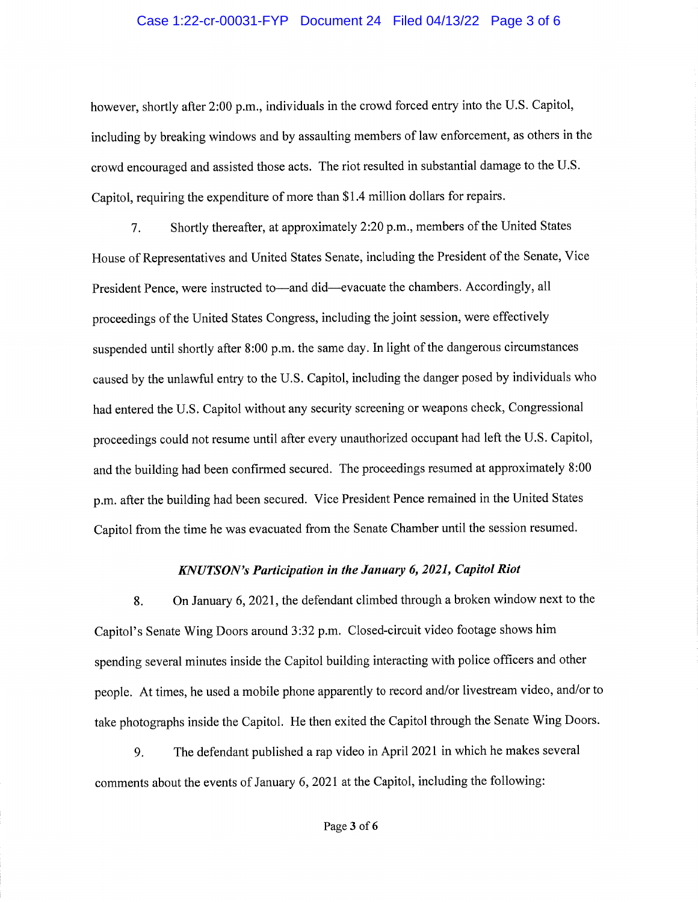#### Case 1:22-cr-00031-FYP Document 24 Filed 04/13/22 Page 3 of 6

however, shortly after 2:00 p.m., individuals in the crowd forced entry into the U.S. Capitol, including by breaking windows and by assaulting members of law enforcement, as others in the crowd encouraged and assisted those acts. The riot resulted in substantial damage to the U.S. Capitol, requiring the expenditure of more than \$1.4 million dollars for repairs.

7. Shortly thereafter, at approximately 2:20 p.m., members of the United States House of Representatives and United States Senate, including the President of the Senate, Vice President Pence, were instructed to—and did—evacuate the chambers. Accordingly, all proceedings of the United States Congress, including the joint session, were effectively suspended until shortly after 8:00 p.m. the same day. In light of the dangerous circumstances caused by the unlawful entry to the U.S. Capitol, including the danger posed by individuals who had entered the U.S. Capitol without any security screening or weapons check. Congressional proceedings could not resume until after every unauthorized occupant had left the U.S. Capitol, and the building had been confirmed secured. The proceedings resumed at approximately 8:00 p.m. after the building had been secured. Vice President Pence remained in the United States Capitol from the time he was evacuated from the Senate Chamber until the session resumed.

#### KNUTSON's Participation in the January 6, 2021, Capitol Riot

8. On January 6, 2021, the defendant climbed through a broken window next to the Capitol's Senate Wing Doors around 3:32 p.m. Closed-circuit video footage shows him spending several minutes inside the Capitol building interacting with police officers and other people. At times, he used a mobile phone apparently to record and/or livestream video, and/or to take photographs inside the Capitol. He then exited the Capitol through the Senate Wing Doors.

9. The defendant published a rap video in April 2021 in which he makes several comments about the events of January 6, 2021 at the Capitol, including the following: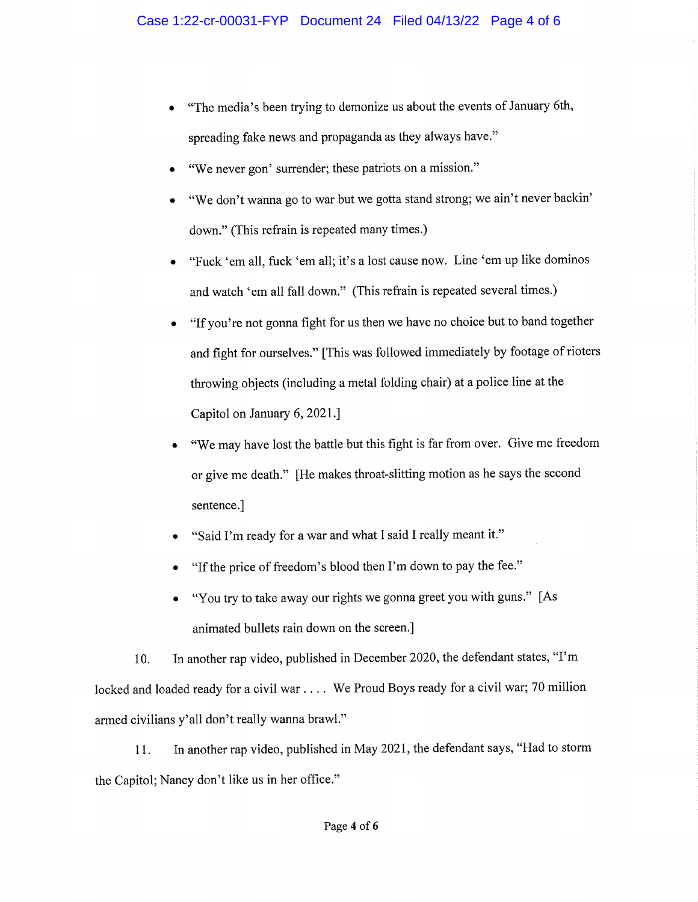- "The media's been trying to demonize us about the events of January 6th, spreading fake news and propaganda as they always have."
- "We never gon' surrender; these patriots on a mission."
- "We don't wanna go to war but we gotta stand strong; we ain't never backin' down." (This refrain is repeated many times.)
- "Fuck 'em all, fuck 'em all; it's a lost cause now. Line 'em up like dominos and watch 'em all fall down." (This refrain is repeated several times.)
- "If you're not gonna fight for us then we have no choice but to band together and fight for ourselves." [This was followed immediately by footage of rioters throwing objects (including a metal folding chair) at a police line at the Capitol on January 6, 2021.]
- "We may have lost the battle but this fight is far from over. Give me freedom or give me death." [He makes throat-slitting motion as he says the second sentence.]
- "Said I'm ready for a war and what I said I really meant it."
- "If the price of freedom's blood then I'm down to pay the fee."
- "You try to take away our rights we gonna greet you with guns." [As animated bullets rain down on the screen.]

10. In another rap video, published in December 2020, the defendant states, "I'm locked and loaded ready for a civil war .... We Proud Boys ready for a civil war; 70 million armed civilians y'all don't really wanna brawl."

11. In another rap video, published in May 2021, the defendant says, "Had to storm the Capitol; Nancy don't like us in her office."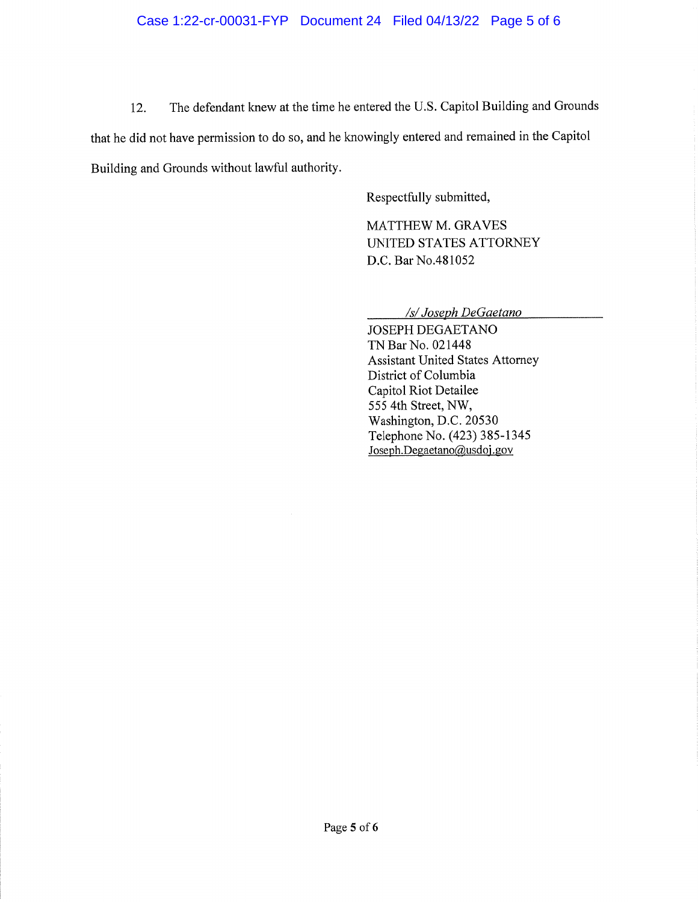12. The defendant knew at the time he entered the U.S. Capitol Building and Grounds that he did not have permission to do so, and he knowingly entered and remained in the Capitol Building and Grounds without lawful authority.

Respectfully submitted,

MATTHEW M. GRAVES UNITED STATES ATTORNEY D.C. Bar No.481052

/s/ Joseph DeGaetano

JOSEPH DEGAETANO TN Bar No. 021448 Assistant United States Attorney District of Columbia Capitol Riot Detailee 555 4th Street, NW, Washington, D.C. 20530 Telephone No. (423) 385-1345 Joseph.Degaetano@usdoj.gov